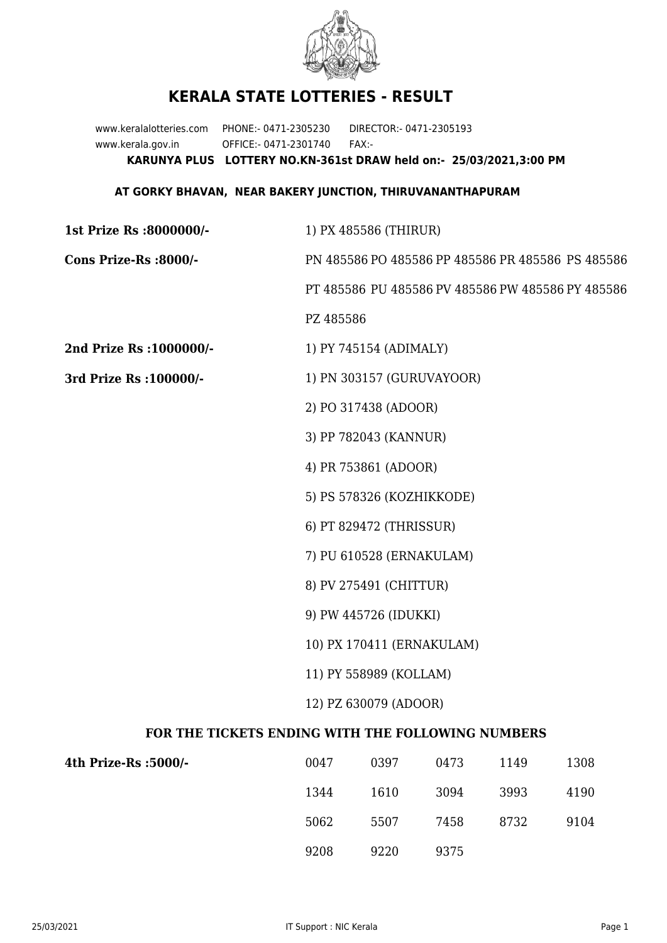

## **KERALA STATE LOTTERIES - RESULT**

www.keralalotteries.com PHONE:- 0471-2305230 DIRECTOR:- 0471-2305193 www.kerala.gov.in OFFICE:- 0471-2301740 FAX:- **KARUNYA PLUS LOTTERY NO.KN-361st DRAW held on:- 25/03/2021,3:00 PM**

## **AT GORKY BHAVAN, NEAR BAKERY JUNCTION, THIRUVANANTHAPURAM**

| 1st Prize Rs :8000000/-                           | 1) PX 485586 (THIRUR)                             |  |  |
|---------------------------------------------------|---------------------------------------------------|--|--|
| Cons Prize-Rs :8000/-                             | PN 485586 PO 485586 PP 485586 PR 485586 PS 485586 |  |  |
|                                                   | PT 485586 PU 485586 PV 485586 PW 485586 PY 485586 |  |  |
|                                                   | PZ 485586                                         |  |  |
| 2nd Prize Rs : 1000000/-                          | 1) PY 745154 (ADIMALY)                            |  |  |
| 3rd Prize Rs : 100000/-                           | 1) PN 303157 (GURUVAYOOR)                         |  |  |
|                                                   | 2) PO 317438 (ADOOR)                              |  |  |
|                                                   | 3) PP 782043 (KANNUR)                             |  |  |
|                                                   | 4) PR 753861 (ADOOR)                              |  |  |
|                                                   | 5) PS 578326 (KOZHIKKODE)                         |  |  |
|                                                   | 6) PT 829472 (THRISSUR)                           |  |  |
|                                                   | 7) PU 610528 (ERNAKULAM)                          |  |  |
|                                                   | 8) PV 275491 (CHITTUR)                            |  |  |
|                                                   | 9) PW 445726 (IDUKKI)                             |  |  |
|                                                   | 10) PX 170411 (ERNAKULAM)                         |  |  |
|                                                   | 11) PY 558989 (KOLLAM)                            |  |  |
|                                                   | 12) PZ 630079 (ADOOR)                             |  |  |
| FOR THE TICKETS ENDING WITH THE FOLLOWING NUMBERS |                                                   |  |  |
|                                                   |                                                   |  |  |

| 4th Prize-Rs :5000/- | 0047 | 0397 | 0473 | 1149 | 1308 |
|----------------------|------|------|------|------|------|
|                      | 1344 | 1610 | 3094 | 3993 | 4190 |
|                      | 5062 | 5507 | 7458 | 8732 | 9104 |
|                      | 9208 | 9220 | 9375 |      |      |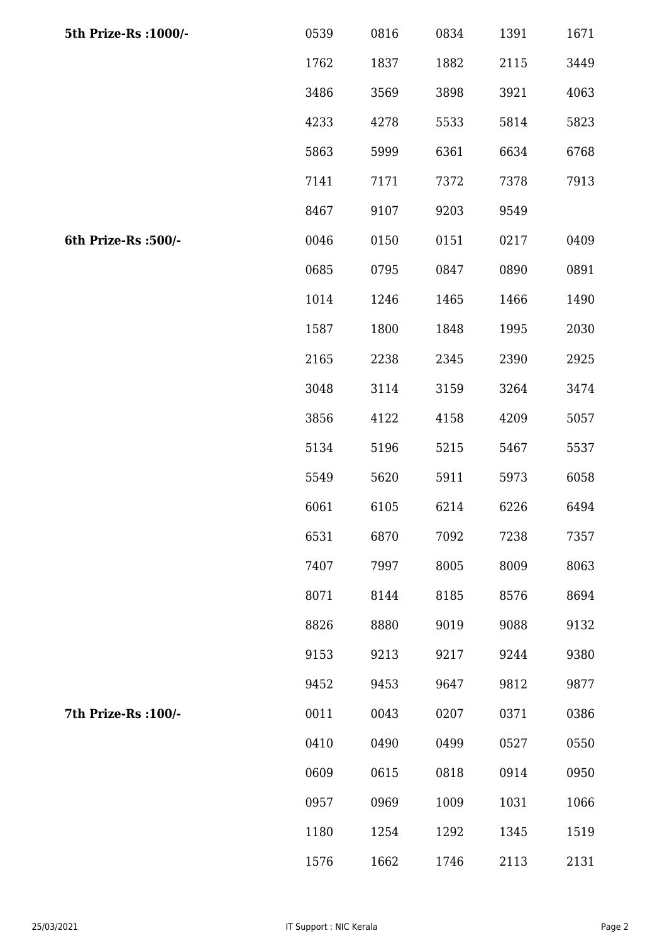| 5th Prize-Rs : 1000/- | 0539 | 0816 | 0834 | 1391 | 1671 |
|-----------------------|------|------|------|------|------|
|                       | 1762 | 1837 | 1882 | 2115 | 3449 |
|                       | 3486 | 3569 | 3898 | 3921 | 4063 |
|                       | 4233 | 4278 | 5533 | 5814 | 5823 |
|                       | 5863 | 5999 | 6361 | 6634 | 6768 |
|                       | 7141 | 7171 | 7372 | 7378 | 7913 |
|                       | 8467 | 9107 | 9203 | 9549 |      |
| 6th Prize-Rs :500/-   | 0046 | 0150 | 0151 | 0217 | 0409 |
|                       | 0685 | 0795 | 0847 | 0890 | 0891 |
|                       | 1014 | 1246 | 1465 | 1466 | 1490 |
|                       | 1587 | 1800 | 1848 | 1995 | 2030 |
|                       | 2165 | 2238 | 2345 | 2390 | 2925 |
|                       | 3048 | 3114 | 3159 | 3264 | 3474 |
|                       | 3856 | 4122 | 4158 | 4209 | 5057 |
|                       | 5134 | 5196 | 5215 | 5467 | 5537 |
|                       | 5549 | 5620 | 5911 | 5973 | 6058 |
|                       | 6061 | 6105 | 6214 | 6226 | 6494 |
|                       | 6531 | 6870 | 7092 | 7238 | 7357 |
|                       | 7407 | 7997 | 8005 | 8009 | 8063 |
|                       | 8071 | 8144 | 8185 | 8576 | 8694 |
|                       | 8826 | 8880 | 9019 | 9088 | 9132 |
|                       | 9153 | 9213 | 9217 | 9244 | 9380 |
|                       | 9452 | 9453 | 9647 | 9812 | 9877 |
| 7th Prize-Rs : 100/-  | 0011 | 0043 | 0207 | 0371 | 0386 |
|                       | 0410 | 0490 | 0499 | 0527 | 0550 |
|                       | 0609 | 0615 | 0818 | 0914 | 0950 |
|                       | 0957 | 0969 | 1009 | 1031 | 1066 |
|                       | 1180 | 1254 | 1292 | 1345 | 1519 |
|                       | 1576 | 1662 | 1746 | 2113 | 2131 |